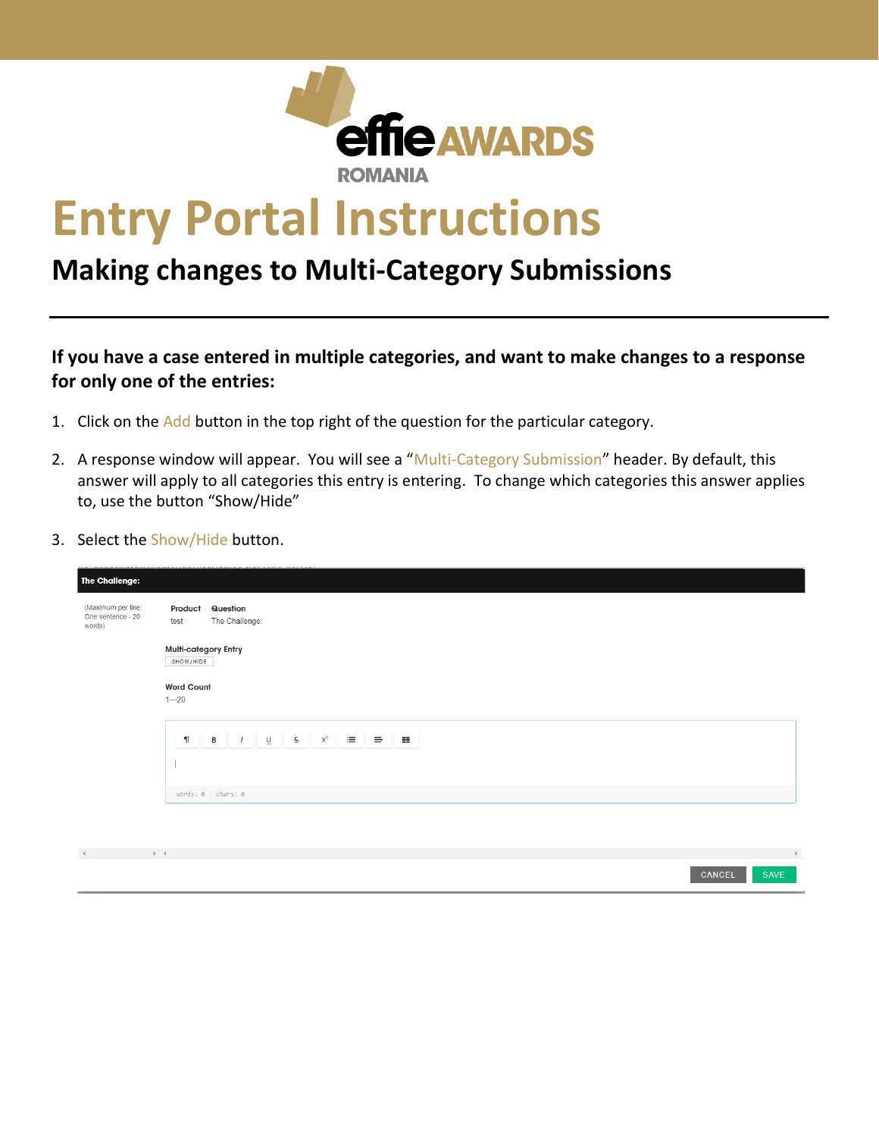

## **Entry Portal Instructions**

## **Making changes to Multi-Category Submissions**

## **If you have a case entered in multiple categories, and want to make changes to a response for only one of the entries:**

- 1. Click on the Add button in the top right of the question for the particular category.
- 2. A response window will appear. You will see a "Multi-Category Submission" header. By default, this answer will apply to all categories this entry is entering. To change which categories this answer applies to, use the button "Show/Hide"
- 3. Select the Show/Hide button.

| <b>The Challenge:</b>                             |                                          |                                                                                                                                                            |        |                |
|---------------------------------------------------|------------------------------------------|------------------------------------------------------------------------------------------------------------------------------------------------------------|--------|----------------|
| (Maximum per line:<br>One sentence - 20<br>words) | Product<br>test                          | <b>Question</b><br>The Challenge:                                                                                                                          |        |                |
|                                                   | <b>Multi-category Entry</b><br>SHOW/HIDE |                                                                                                                                                            |        |                |
|                                                   | <b>Word Count</b>                        |                                                                                                                                                            |        |                |
|                                                   | $1 - 20$                                 |                                                                                                                                                            |        |                |
|                                                   | $\P$                                     | $\begin{array}{ c c c c c }\hline & I & \underline{\mathsf{U}} & \underline{\mathsf{U}} \end{array}$<br>$S^2$ $x^2$ $\equiv$ $\equiv$<br>$\mathbf{B}$<br>ᆍ |        |                |
|                                                   |                                          |                                                                                                                                                            |        |                |
|                                                   |                                          | $words: 0$ chars: 0                                                                                                                                        |        |                |
|                                                   |                                          |                                                                                                                                                            |        |                |
| design and the control of                         | $\mathbb{R}^n$ . 4                       |                                                                                                                                                            |        | $\,$ $\,$ $\,$ |
|                                                   |                                          |                                                                                                                                                            | CANCEL | <b>SAVE</b>    |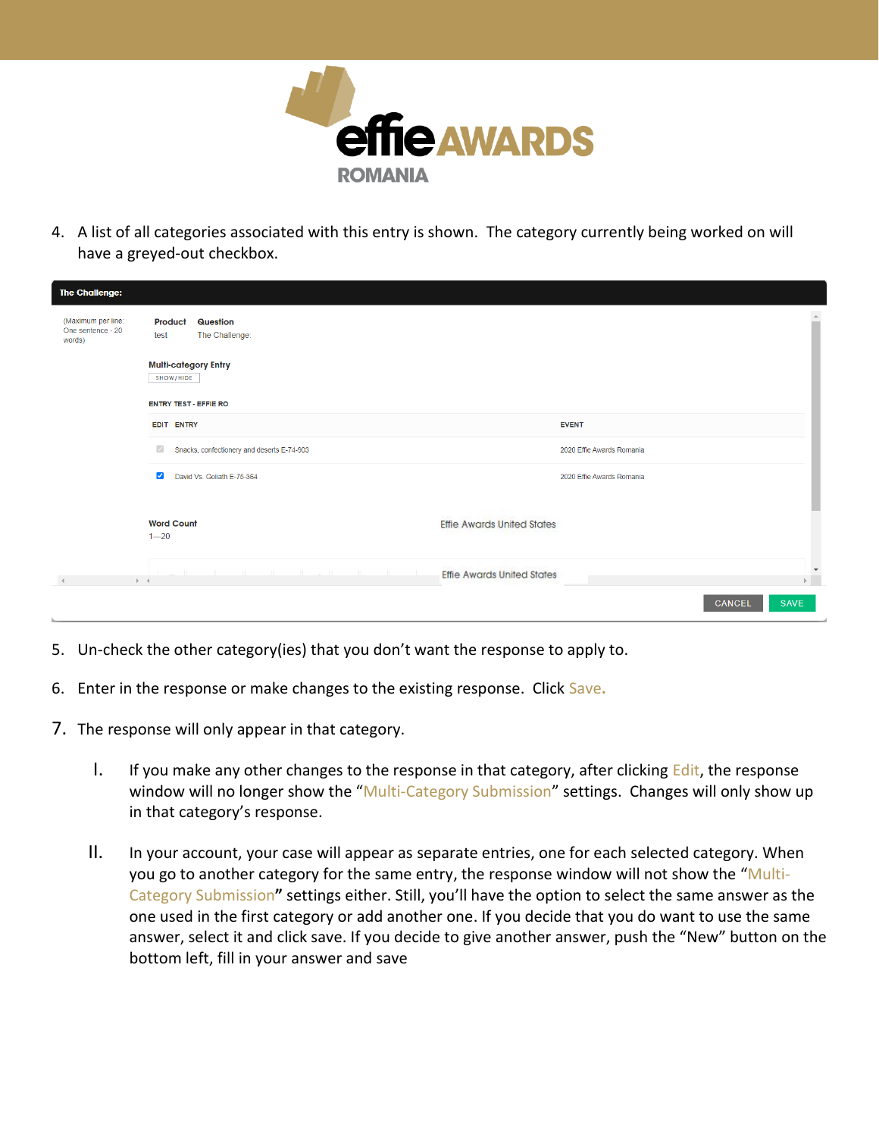

4. A list of all categories associated with this entry is shown. The category currently being worked on will have a greyed-out checkbox.

| <b>The Challenge:</b>                             |                                                                       |                                                   |                      |  |  |  |  |
|---------------------------------------------------|-----------------------------------------------------------------------|---------------------------------------------------|----------------------|--|--|--|--|
| (Maximum per line:<br>One sentence - 20<br>words) | <b>Question</b><br><b>Product</b><br>The Challenge:<br>test           |                                                   |                      |  |  |  |  |
|                                                   | <b>Multi-category Entry</b><br>SHOW/HIDE                              |                                                   |                      |  |  |  |  |
|                                                   | <b>ENTRY TEST - EFFIE RO</b>                                          |                                                   |                      |  |  |  |  |
|                                                   | EDIT ENTRY                                                            | <b>EVENT</b>                                      |                      |  |  |  |  |
|                                                   | $\sqrt{2}$<br>Snacks, confectionery and deserts E-74-903              | 2020 Effie Awards Romania                         |                      |  |  |  |  |
|                                                   | $\blacktriangledown$<br>David Vs. Goliath E-75-364                    | 2020 Effie Awards Romania                         |                      |  |  |  |  |
|                                                   | <b>Word Count</b><br>$1 - 20$                                         | <b>Effie Awards United States</b>                 |                      |  |  |  |  |
|                                                   | the control of the control of<br>the control of the con-<br>$ b  = 4$ | <b>Effie Awards United States</b><br>$\mathbf{F}$ | $\blacktriangledown$ |  |  |  |  |
|                                                   |                                                                       | CANCEL<br><b>SAVE</b>                             |                      |  |  |  |  |

- 5. Un-check the other category(ies) that you don't want the response to apply to.
- 6. Enter in the response or make changes to the existing response. Click Save**.**
- 7. The response will only appear in that category.
	- I. If you make any other changes to the response in that category, after clicking Edit, the response window will no longer show the "Multi-Category Submission" settings. Changes will only show up in that category's response.
	- II. In your account, your case will appear as separate entries, one for each selected category. When you go to another category for the same entry, the response window will not show the "Multi-Category Submission**"** settings either. Still, you'll have the option to select the same answer as the one used in the first category or add another one. If you decide that you do want to use the same answer, select it and click save. If you decide to give another answer, push the "New" button on the bottom left, fill in your answer and save